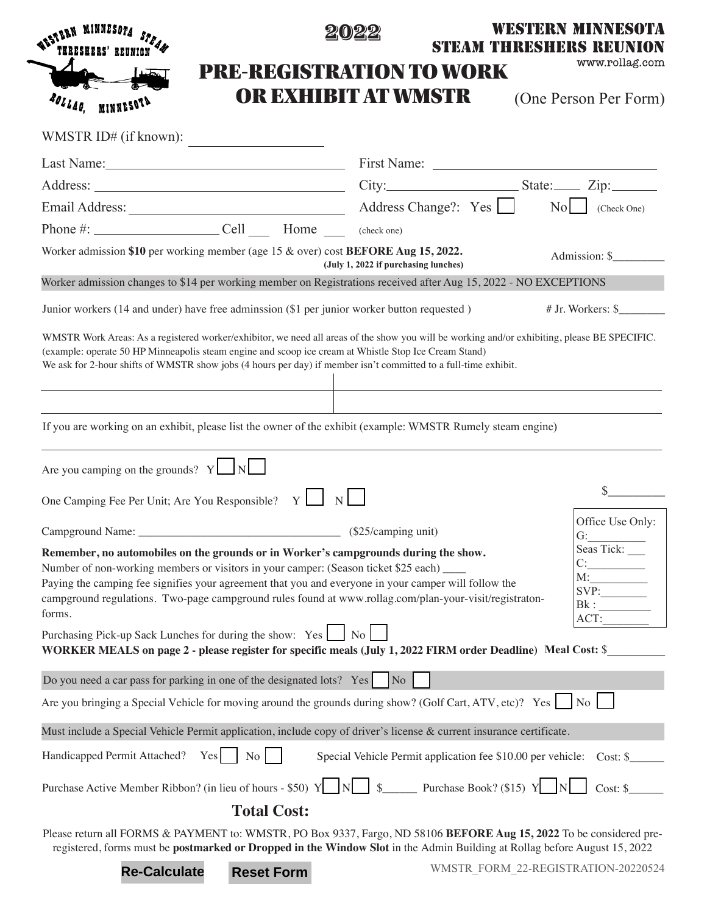|                                                                                                                                                                                                                                                                                                                                                                                                                                                                                                                                                                                         |                                      | WESTERN MINNESOTA<br>STEAM THRESHERS REUNION                           |                  |
|-----------------------------------------------------------------------------------------------------------------------------------------------------------------------------------------------------------------------------------------------------------------------------------------------------------------------------------------------------------------------------------------------------------------------------------------------------------------------------------------------------------------------------------------------------------------------------------------|--------------------------------------|------------------------------------------------------------------------|------------------|
|                                                                                                                                                                                                                                                                                                                                                                                                                                                                                                                                                                                         | <b>PRE-REGISTRATION TO WORK</b>      |                                                                        | www.rollag.com   |
| ROLLAG<br><b>MINNESOT</b>                                                                                                                                                                                                                                                                                                                                                                                                                                                                                                                                                               | OR EXHIBIT AT WMSTR                  | (One Person Per Form)                                                  |                  |
| WMSTR ID# (if known):<br><u> 1989 - Jan James Barbara, president populari (</u>                                                                                                                                                                                                                                                                                                                                                                                                                                                                                                         |                                      |                                                                        |                  |
| Last Name: 1988 Manual Manual Manual Manual Manual Manual Manual Manual Manual Manual Manual Manual Manual Manual Manual Manual Manual Manual Manual Manual Manual Manual Manual Manual Manual Manual Manual Manual Manual Man                                                                                                                                                                                                                                                                                                                                                          |                                      |                                                                        |                  |
|                                                                                                                                                                                                                                                                                                                                                                                                                                                                                                                                                                                         |                                      |                                                                        |                  |
|                                                                                                                                                                                                                                                                                                                                                                                                                                                                                                                                                                                         |                                      |                                                                        |                  |
| Phone #: $\_\_\_\_$ Cell $\_\_\_\$ Home $\_\_\_\$                                                                                                                                                                                                                                                                                                                                                                                                                                                                                                                                       | (check one)                          |                                                                        |                  |
| Worker admission \$10 per working member (age $15 \&$ over) cost <b>BEFORE Aug 15, 2022.</b>                                                                                                                                                                                                                                                                                                                                                                                                                                                                                            | (July 1, 2022 if purchasing lunches) | Admission: \$                                                          |                  |
| Worker admission changes to \$14 per working member on Registrations received after Aug 15, 2022 - NO EXCEPTIONS                                                                                                                                                                                                                                                                                                                                                                                                                                                                        |                                      |                                                                        |                  |
| Junior workers (14 and under) have free adminission (\$1 per junior worker button requested)                                                                                                                                                                                                                                                                                                                                                                                                                                                                                            |                                      | # Jr. Workers: \$                                                      |                  |
| (example: operate 50 HP Minneapolis steam engine and scoop ice cream at Whistle Stop Ice Cream Stand)<br>We ask for 2-hour shifts of WMSTR show jobs (4 hours per day) if member isn't committed to a full-time exhibit.<br>If you are working on an exhibit, please list the owner of the exhibit (example: WMSTR Rumely steam engine)                                                                                                                                                                                                                                                 |                                      |                                                                        |                  |
| Are you camping on the grounds? $Y \cup N$                                                                                                                                                                                                                                                                                                                                                                                                                                                                                                                                              |                                      |                                                                        |                  |
| One Camping Fee Per Unit; Are You Responsible? Y                                                                                                                                                                                                                                                                                                                                                                                                                                                                                                                                        |                                      |                                                                        |                  |
| Campground Name: _                                                                                                                                                                                                                                                                                                                                                                                                                                                                                                                                                                      | $\frac{1}{25}$ (\$25/camping unit)   | G:                                                                     | Office Use Only: |
| Remember, no automobiles on the grounds or in Worker's campgrounds during the show.<br>Number of non-working members or visitors in your camper: (Season ticket \$25 each) ____<br>Paying the camping fee signifies your agreement that you and everyone in your camper will follow the<br>campground regulations. Two-page campground rules found at www.rollag.com/plan-your-visit/registraton-<br>forms.<br>Purchasing Pick-up Sack Lunches for during the show: Yes<br>WORKER MEALS on page 2 - please register for specific meals (July 1, 2022 FIRM order Deadline) Meal Cost: \$ | No                                   | Seas Tick:<br>C:<br>M:<br>Bk:<br>ACT:                                  |                  |
| Do you need a car pass for parking in one of the designated lots? Yes No                                                                                                                                                                                                                                                                                                                                                                                                                                                                                                                |                                      |                                                                        |                  |
| Are you bringing a Special Vehicle for moving around the grounds during show? (Golf Cart, ATV, etc)? Yes     No                                                                                                                                                                                                                                                                                                                                                                                                                                                                         |                                      |                                                                        |                  |
|                                                                                                                                                                                                                                                                                                                                                                                                                                                                                                                                                                                         |                                      |                                                                        |                  |
| Must include a Special Vehicle Permit application, include copy of driver's license & current insurance certificate.                                                                                                                                                                                                                                                                                                                                                                                                                                                                    |                                      |                                                                        |                  |
| Yes<br>Handicapped Permit Attached?<br>No                                                                                                                                                                                                                                                                                                                                                                                                                                                                                                                                               |                                      | Special Vehicle Permit application fee \$10.00 per vehicle: Cost: \$   |                  |
| Purchase Active Member Ribbon? (in lieu of hours - \$50) Y                                                                                                                                                                                                                                                                                                                                                                                                                                                                                                                              |                                      | $\frac{1}{2}$ $\frac{1}{2}$ Purchase Book? (\$15) Y<br>N  <br>Cost: \$ |                  |
| <b>Total Cost:</b>                                                                                                                                                                                                                                                                                                                                                                                                                                                                                                                                                                      |                                      |                                                                        |                  |
| Please return all FORMS & PAYMENT to: WMSTR, PO Box 9337, Fargo, ND 58106 BEFORE Aug 15, 2022 To be considered pre-<br>registered, forms must be postmarked or Dropped in the Window Slot in the Admin Building at Rollag before August 15, 2022                                                                                                                                                                                                                                                                                                                                        |                                      |                                                                        |                  |

**Re-Calculate Reset Form**